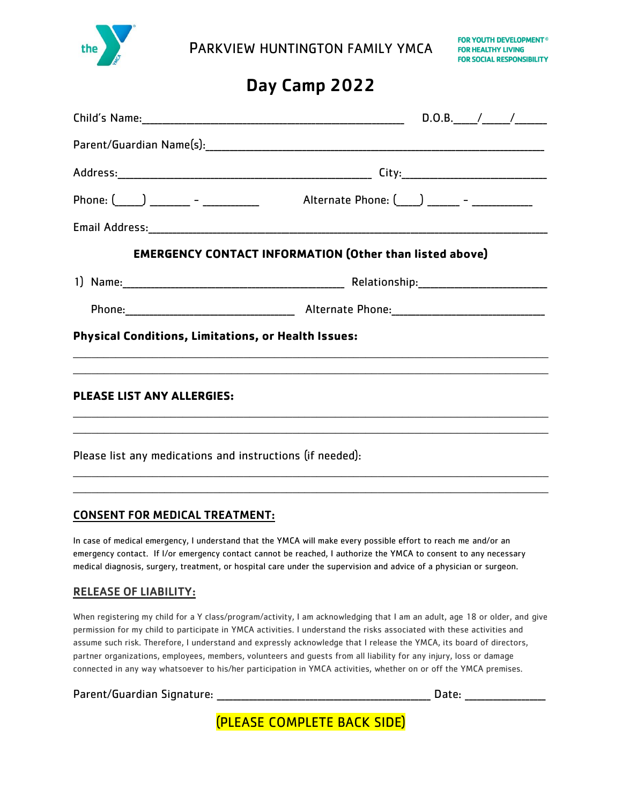

PARKVIEW HUNTINGTON FAMILY YMCA

# Day Camp 2022

| $D.O.B.$ / /                                                                                                                                                                                                                                       |
|----------------------------------------------------------------------------------------------------------------------------------------------------------------------------------------------------------------------------------------------------|
|                                                                                                                                                                                                                                                    |
|                                                                                                                                                                                                                                                    |
| Phone: $\begin{pmatrix} 0 & 1 \\ 0 & 1 \end{pmatrix}$ 2000 - 2000 - 2000 - 2000 - 2010 - 2010 - 2010 - 2010 - 2010 - 2010 - 2010 - 2010 - 2010 - 2010 - 2010 - 2010 - 2010 - 2010 - 2010 - 2010 - 2010 - 2010 - 2010 - 2010 - 2010 - 2010 - 2010 - |
|                                                                                                                                                                                                                                                    |
| <b>EMERGENCY CONTACT INFORMATION (Other than listed above)</b>                                                                                                                                                                                     |
|                                                                                                                                                                                                                                                    |
|                                                                                                                                                                                                                                                    |
| <b>Physical Conditions, Limitations, or Health Issues:</b>                                                                                                                                                                                         |
|                                                                                                                                                                                                                                                    |
| ,我们也不能在这里的时候,我们也不能在这里的时候,我们也不能会在这里的时候,我们也不能会在这里的时候,我们也不能会在这里的时候,我们也不能会在这里的时候,我们也不                                                                                                                                                                  |
|                                                                                                                                                                                                                                                    |
| Please list any medications and instructions (if needed):                                                                                                                                                                                          |
|                                                                                                                                                                                                                                                    |

### CONSENT FOR MEDICAL TREATMENT:

In case of medical emergency, I understand that the YMCA will make every possible effort to reach me and/or an emergency contact. If I/or emergency contact cannot be reached, I authorize the YMCA to consent to any necessary medical diagnosis, surgery, treatment, or hospital care under the supervision and advice of a physician or surgeon.

\_\_\_\_\_\_\_\_\_\_\_\_\_\_\_\_\_\_\_\_\_\_\_\_\_\_\_\_\_\_\_\_\_\_\_\_\_\_\_\_\_\_\_\_\_\_\_\_\_\_\_\_\_\_\_\_\_\_\_\_\_\_\_\_\_\_\_\_\_\_\_\_\_\_\_\_\_\_

#### RELEASE OF LIABILITY:

When registering my child for a Y class/program/activity, I am acknowledging that I am an adult, age 18 or older, and give permission for my child to participate in YMCA activities. I understand the risks associated with these activities and assume such risk. Therefore, I understand and expressly acknowledge that I release the YMCA, its board of directors, partner organizations, employees, members, volunteers and guests from all liability for any injury, loss or damage connected in any way whatsoever to his/her participation in YMCA activities, whether on or off the YMCA premises.

Parent/Guardian Signature: \_\_\_\_\_\_\_\_\_\_\_\_\_\_\_\_\_\_\_\_\_\_\_\_\_\_\_\_\_\_\_\_\_\_\_\_\_\_\_\_\_\_\_\_\_\_\_\_\_\_\_\_\_ Date: \_\_\_\_\_\_\_\_\_\_\_\_\_\_\_\_\_\_\_\_

(PLEASE COMPLETE BACK SIDE)